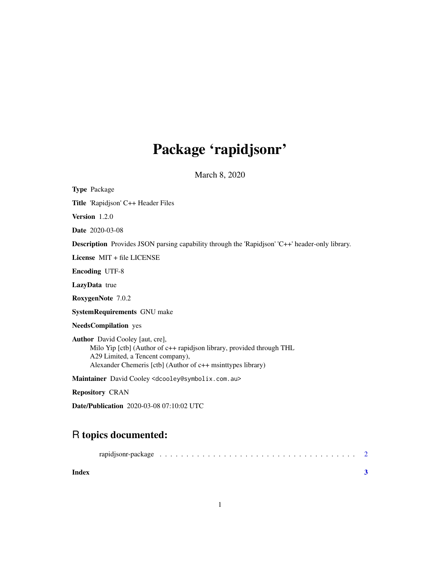## Package 'rapidjsonr'

March 8, 2020

| <b>Type Package</b>                                                                                                                                                                                                |
|--------------------------------------------------------------------------------------------------------------------------------------------------------------------------------------------------------------------|
| <b>Title</b> 'Rapidjson' C++ Header Files                                                                                                                                                                          |
| Version 1.2.0                                                                                                                                                                                                      |
| <b>Date</b> 2020-03-08                                                                                                                                                                                             |
| <b>Description</b> Provides JSON parsing capability through the 'Rapidjson' 'C++' header-only library.                                                                                                             |
| License $MIT + file LICENSE$                                                                                                                                                                                       |
| <b>Encoding UTF-8</b>                                                                                                                                                                                              |
| <b>LazyData</b> true                                                                                                                                                                                               |
| RoxygenNote 7.0.2                                                                                                                                                                                                  |
| <b>SystemRequirements GNU make</b>                                                                                                                                                                                 |
| <b>NeedsCompilation</b> yes                                                                                                                                                                                        |
| <b>Author</b> David Cooley [aut, cre],<br>Milo Yip [ctb] (Author of c++ rapidjson library, provided through THL<br>A29 Limited, a Tencent company),<br>Alexander Chemeris [ctb] (Author of c++ msinttypes library) |
| Maintainer David Cooley <dcooley@symbolix.com.au></dcooley@symbolix.com.au>                                                                                                                                        |
| <b>Repository CRAN</b>                                                                                                                                                                                             |

Date/Publication 2020-03-08 07:10:02 UTC

### R topics documented:

| Index |  |  |  |  |  |  |  |  |  |  |  |  |  |  |  |  |
|-------|--|--|--|--|--|--|--|--|--|--|--|--|--|--|--|--|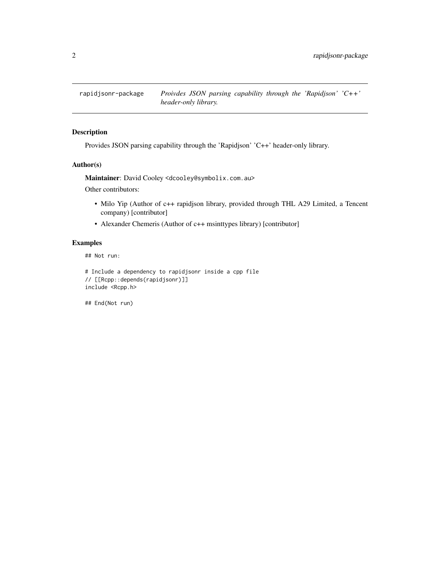<span id="page-1-0"></span>

#### Description

Provides JSON parsing capability through the 'Rapidjson' 'C++' header-only library.

#### Author(s)

Maintainer: David Cooley <dcooley@symbolix.com.au>

Other contributors:

- Milo Yip (Author of c++ rapidjson library, provided through THL A29 Limited, a Tencent company) [contributor]
- Alexander Chemeris (Author of c++ msinttypes library) [contributor]

#### Examples

## Not run:

# Include a dependency to rapidjsonr inside a cpp file // [[Rcpp::depends(rapidjsonr)]] include <Rcpp.h>

## End(Not run)